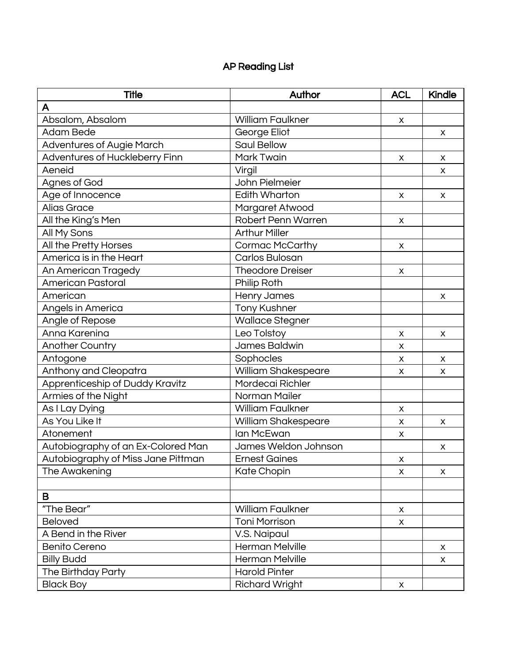## AP Reading List

| <b>Title</b>                       | Author                  | <b>ACL</b> | Kindle |
|------------------------------------|-------------------------|------------|--------|
| A                                  |                         |            |        |
| Absalom, Absalom                   | <b>William Faulkner</b> | X          |        |
| Adam Bede                          | George Eliot            |            | X      |
| <b>Adventures of Augie March</b>   | Saul Bellow             |            |        |
| Adventures of Huckleberry Finn     | Mark Twain              | X          | X      |
| Aeneid                             | Virgil                  |            | X      |
| Agnes of God                       | John Pielmeier          |            |        |
| Age of Innocence                   | <b>Edith Wharton</b>    | X          | X      |
| Alias Grace                        | Margaret Atwood         |            |        |
| All the King's Men                 | Robert Penn Warren      | X          |        |
| All My Sons                        | <b>Arthur Miller</b>    |            |        |
| All the Pretty Horses              | Cormac McCarthy         | X          |        |
| America is in the Heart            | Carlos Bulosan          |            |        |
| An American Tragedy                | <b>Theodore Dreiser</b> | X          |        |
| <b>American Pastoral</b>           | Philip Roth             |            |        |
| American                           | Henry James             |            | X      |
| Angels in America                  | <b>Tony Kushner</b>     |            |        |
| Angle of Repose                    | <b>Wallace Stegner</b>  |            |        |
| Anna Karenina                      | Leo Tolstoy             | X          | X      |
| Another Country                    | James Baldwin           | X          |        |
| Antogone                           | Sophocles               | X          | X      |
| Anthony and Cleopatra              | William Shakespeare     | X          | X.     |
| Apprenticeship of Duddy Kravitz    | Mordecai Richler        |            |        |
| Armies of the Night                | Norman Mailer           |            |        |
| As I Lay Dying                     | <b>William Faulkner</b> | X          |        |
| As You Like It                     | William Shakespeare     | X          | X      |
| Atonement                          | lan McEwan              | X          |        |
| Autobiography of an Ex-Colored Man | James Weldon Johnson    |            | X      |
| Autobiography of Miss Jane Pittman | <b>Ernest Gaines</b>    | X          |        |
| The Awakening                      | Kate Chopin             | X          | X      |
|                                    |                         |            |        |
| в                                  |                         |            |        |
| "The Bear"                         | <b>William Faulkner</b> | X          |        |
| <b>Beloved</b>                     | <b>Toni Morrison</b>    | X          |        |
| A Bend in the River                | V.S. Naipaul            |            |        |
| <b>Benito Cereno</b>               | <b>Herman Melville</b>  |            | X      |
| <b>Billy Budd</b>                  | <b>Herman Melville</b>  |            | X      |
| The Birthday Party                 | <b>Harold Pinter</b>    |            |        |
| <b>Black Boy</b>                   | <b>Richard Wright</b>   | X          |        |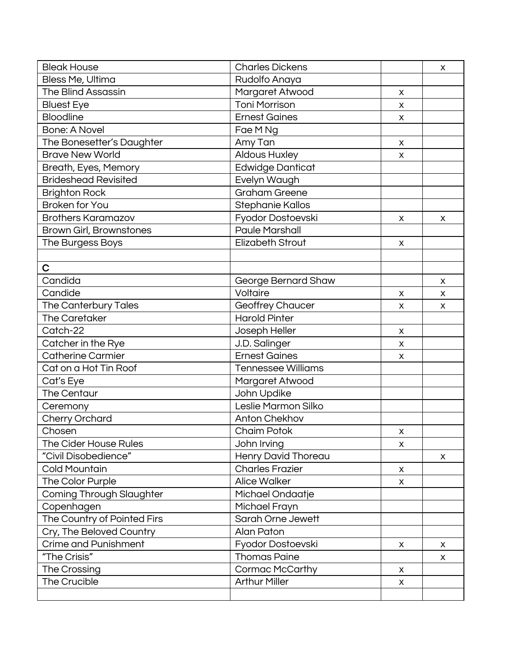| <b>Bleak House</b>              | <b>Charles Dickens</b>    |                    | X |
|---------------------------------|---------------------------|--------------------|---|
| Bless Me, Ultima                | Rudolfo Anaya             |                    |   |
| <b>The Blind Assassin</b>       | Margaret Atwood           | X                  |   |
| <b>Bluest Eye</b>               | <b>Toni Morrison</b>      | X                  |   |
| Bloodline                       | <b>Ernest Gaines</b>      | X                  |   |
| <b>Bone: A Novel</b>            | Fae M Ng                  |                    |   |
| The Bonesetter's Daughter       | Amy Tan                   | X                  |   |
| <b>Brave New World</b>          | <b>Aldous Huxley</b>      | X                  |   |
| Breath, Eyes, Memory            | <b>Edwidge Danticat</b>   |                    |   |
| <b>Brideshead Revisited</b>     | Evelyn Waugh              |                    |   |
| <b>Brighton Rock</b>            | Graham Greene             |                    |   |
| <b>Broken for You</b>           | Stephanie Kallos          |                    |   |
| <b>Brothers Karamazov</b>       | Fyodor Dostoevski         | X                  | X |
| Brown Girl, Brownstones         | <b>Paule Marshall</b>     |                    |   |
| The Burgess Boys                | <b>Elizabeth Strout</b>   | X                  |   |
|                                 |                           |                    |   |
| C                               |                           |                    |   |
| Candida                         | George Bernard Shaw       |                    | X |
| Candide                         | Voltaire                  | X                  | X |
| The Canterbury Tales            | <b>Geoffrey Chaucer</b>   | X                  | X |
| The Caretaker                   | <b>Harold Pinter</b>      |                    |   |
| Catch-22                        | Joseph Heller             | X                  |   |
| Catcher in the Rye              | J.D. Salinger             | X                  |   |
| <b>Catherine Carmier</b>        | <b>Ernest Gaines</b>      | X                  |   |
| Cat on a Hot Tin Roof           | <b>Tennessee Williams</b> |                    |   |
| Cat's Eye                       | Margaret Atwood           |                    |   |
| The Centaur                     | John Updike               |                    |   |
| Ceremony                        | Leslie Marmon Silko       |                    |   |
| Cherry Orchard                  | Anton Chekhov             |                    |   |
| Chosen                          | <b>Chaim Potok</b>        | X                  |   |
| The Cider House Rules           | John Irving               | X                  |   |
| "Civil Disobedience"            | Henry David Thoreau       |                    | X |
| <b>Cold Mountain</b>            | <b>Charles Frazier</b>    | X                  |   |
| The Color Purple                | <b>Alice Walker</b>       | X                  |   |
| <b>Coming Through Slaughter</b> | Michael Ondaatje          |                    |   |
| Copenhagen                      | Michael Frayn             |                    |   |
| The Country of Pointed Firs     | Sarah Orne Jewett         |                    |   |
| Cry, The Beloved Country        | Alan Paton                |                    |   |
| <b>Crime and Punishment</b>     | Fyodor Dostoevski         | X                  | X |
| "The Crisis"                    | <b>Thomas Paine</b>       |                    | X |
| The Crossing                    | Cormac McCarthy           | X                  |   |
| The Crucible                    | <b>Arthur Miller</b>      | $\pmb{\mathsf{X}}$ |   |
|                                 |                           |                    |   |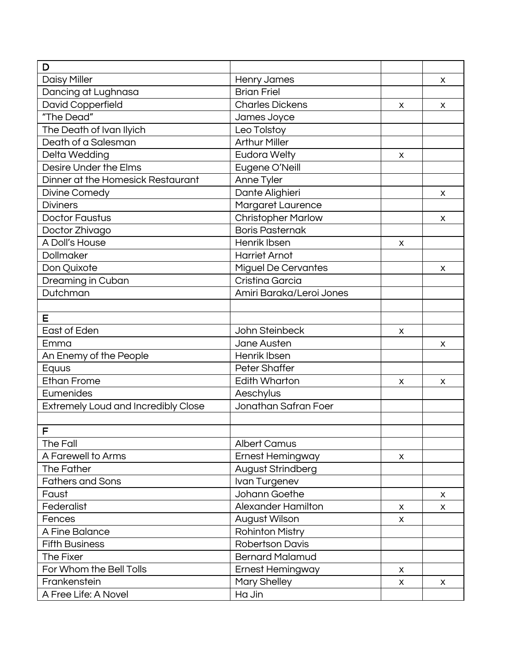| D                                          |                            |   |   |
|--------------------------------------------|----------------------------|---|---|
| <b>Daisy Miller</b>                        | <b>Henry James</b>         |   | X |
| Dancing at Lughnasa                        | <b>Brian Friel</b>         |   |   |
| David Copperfield                          | <b>Charles Dickens</b>     | X | X |
| "The Dead"                                 | James Joyce                |   |   |
| The Death of Ivan Ilyich                   | Leo Tolstoy                |   |   |
| Death of a Salesman                        | <b>Arthur Miller</b>       |   |   |
| Delta Wedding                              | <b>Eudora Welty</b>        | X |   |
| Desire Under the Elms                      | Eugene O'Neill             |   |   |
| Dinner at the Homesick Restaurant          | Anne Tyler                 |   |   |
| Divine Comedy                              | Dante Alighieri            |   | X |
| <b>Diviners</b>                            | <b>Margaret Laurence</b>   |   |   |
| <b>Doctor Faustus</b>                      | <b>Christopher Marlow</b>  |   | X |
| Doctor Zhivago                             | <b>Boris Pasternak</b>     |   |   |
| A Doll's House                             | Henrik Ibsen               | X |   |
| Dollmaker                                  | <b>Harriet Arnot</b>       |   |   |
| Don Quixote                                | <b>Miguel De Cervantes</b> |   | X |
| Dreaming in Cuban                          | Cristina Garcia            |   |   |
| Dutchman                                   | Amiri Baraka/Leroi Jones   |   |   |
|                                            |                            |   |   |
| Е                                          |                            |   |   |
| East of Eden                               | John Steinbeck             | X |   |
| Emma                                       | Jane Austen                |   | X |
| An Enemy of the People                     | Henrik Ibsen               |   |   |
| Equus                                      | Peter Shaffer              |   |   |
| <b>Ethan Frome</b>                         | <b>Edith Wharton</b>       | X | X |
| Eumenides                                  | Aeschylus                  |   |   |
| <b>Extremely Loud and Incredibly Close</b> | Jonathan Safran Foer       |   |   |
|                                            |                            |   |   |
| F                                          |                            |   |   |
| The Fall                                   | <b>Albert Camus</b>        |   |   |
| A Farewell to Arms                         | <b>Ernest Hemingway</b>    | X |   |
| The Father                                 | August Strindberg          |   |   |
| <b>Fathers and Sons</b>                    | Ivan Turgenev              |   |   |
| Faust                                      | Johann Goethe              |   | X |
| Federalist                                 | <b>Alexander Hamilton</b>  | X | X |
| Fences                                     | August Wilson              | X |   |
| A Fine Balance                             | <b>Rohinton Mistry</b>     |   |   |
| <b>Fifth Business</b>                      | <b>Robertson Davis</b>     |   |   |
| The Fixer                                  | <b>Bernard Malamud</b>     |   |   |
| For Whom the Bell Tolls                    | <b>Ernest Hemingway</b>    | X |   |
| Frankenstein                               | Mary Shelley               | X | X |
| A Free Life: A Novel                       | Ha Jin                     |   |   |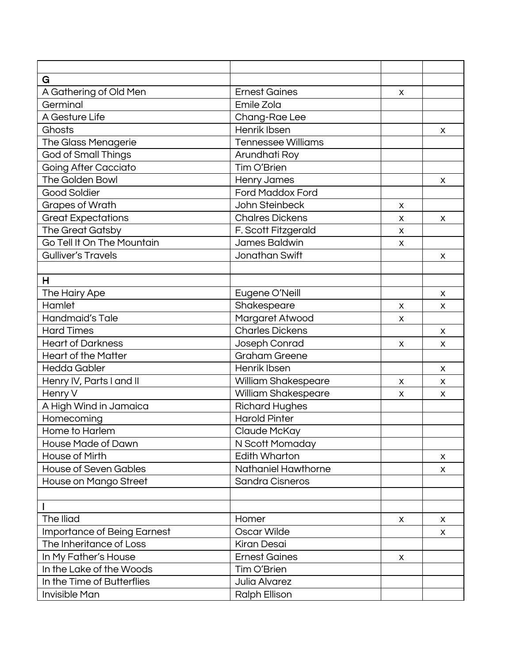| G                            |                           |   |    |
|------------------------------|---------------------------|---|----|
| A Gathering of Old Men       | <b>Ernest Gaines</b>      | X |    |
| Germinal                     | Emile Zola                |   |    |
| A Gesture Life               | Chang-Rae Lee             |   |    |
| Ghosts                       | Henrik Ibsen              |   | X  |
| The Glass Menagerie          | <b>Tennessee Williams</b> |   |    |
| <b>God of Small Things</b>   | Arundhati Roy             |   |    |
| <b>Going After Cacciato</b>  | Tim O'Brien               |   |    |
| The Golden Bowl              | <b>Henry James</b>        |   | X  |
| <b>Good Soldier</b>          | <b>Ford Maddox Ford</b>   |   |    |
| <b>Grapes of Wrath</b>       | John Steinbeck            | X |    |
| <b>Great Expectations</b>    | <b>Chalres Dickens</b>    | X | X  |
| The Great Gatsby             | F. Scott Fitzgerald       | X |    |
| Go Tell It On The Mountain   | James Baldwin             | X |    |
| <b>Gulliver's Travels</b>    | Jonathan Swift            |   | X  |
|                              |                           |   |    |
| н                            |                           |   |    |
| The Hairy Ape                | Eugene O'Neill            |   | X  |
| Hamlet                       | Shakespeare               | X | X  |
| Handmaid's Tale              | Margaret Atwood           | X |    |
| <b>Hard Times</b>            | <b>Charles Dickens</b>    |   | X  |
| <b>Heart of Darkness</b>     | Joseph Conrad             | X | X  |
| <b>Heart of the Matter</b>   | <b>Graham Greene</b>      |   |    |
| <b>Hedda Gabler</b>          | Henrik Ibsen              |   | X  |
| Henry IV, Parts I and II     | William Shakespeare       | X | X  |
| Henry V                      | William Shakespeare       | X | X  |
| A High Wind in Jamaica       | <b>Richard Hughes</b>     |   |    |
| Homecoming                   | <b>Harold Pinter</b>      |   |    |
| Home to Harlem               | Claude McKay              |   |    |
| House Made of Dawn           | N Scott Momaday           |   |    |
| House of Mirth               | Edith Wharton             |   | X. |
| <b>House of Seven Gables</b> | Nathaniel Hawthorne       |   | X  |
| House on Mango Street        | <b>Sandra Cisneros</b>    |   |    |
|                              |                           |   |    |
|                              |                           |   |    |
| The Iliad                    | Homer                     | X | X  |
| Importance of Being Earnest  | Oscar Wilde               |   | X. |
| The Inheritance of Loss      | Kiran Desai               |   |    |
| In My Father's House         | <b>Ernest Gaines</b>      | X |    |
| In the Lake of the Woods     | Tim O'Brien               |   |    |
| In the Time of Butterflies   | Julia Alvarez             |   |    |
| Invisible Man                | Ralph Ellison             |   |    |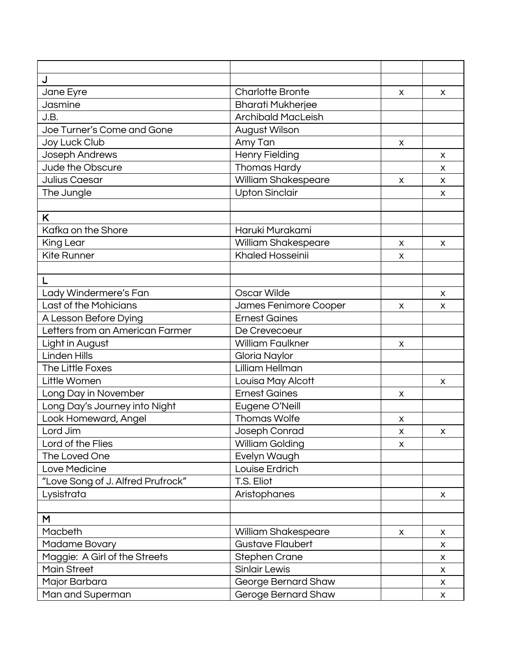| J                                 |                           |   |              |
|-----------------------------------|---------------------------|---|--------------|
| Jane Eyre                         | <b>Charlotte Bronte</b>   | X | X            |
| Jasmine                           | <b>Bharati Mukherjee</b>  |   |              |
| J.B.                              | <b>Archibald MacLeish</b> |   |              |
| Joe Turner's Come and Gone        | August Wilson             |   |              |
| Joy Luck Club                     | Amy Tan                   | X |              |
| Joseph Andrews                    | <b>Henry Fielding</b>     |   | x            |
| Jude the Obscure                  | Thomas Hardy              |   | X            |
| Julius Caesar                     | William Shakespeare       | X | $\mathsf{x}$ |
| The Jungle                        | <b>Upton Sinclair</b>     |   | X            |
|                                   |                           |   |              |
| K                                 |                           |   |              |
| Kafka on the Shore                | Haruki Murakami           |   |              |
| King Lear                         | William Shakespeare       | X | X            |
| <b>Kite Runner</b>                | <b>Khaled Hosseinii</b>   | X |              |
|                                   |                           |   |              |
| L                                 |                           |   |              |
| Lady Windermere's Fan             | Oscar Wilde               |   | X            |
| Last of the Mohicians             | James Fenimore Cooper     | x | X            |
| A Lesson Before Dying             | <b>Ernest Gaines</b>      |   |              |
| Letters from an American Farmer   | De Crevecoeur             |   |              |
| Light in August                   | <b>William Faulkner</b>   | X |              |
| <b>Linden Hills</b>               | Gloria Naylor             |   |              |
| The Little Foxes                  | Lilliam Hellman           |   |              |
| Little Women                      | Louisa May Alcott         |   | X            |
| Long Day in November              | <b>Ernest Gaines</b>      | X |              |
| Long Day's Journey into Night     | Eugene O'Neill            |   |              |
| Look Homeward, Angel              | <b>Thomas Wolfe</b>       | X |              |
| Lord Jim                          | Joseph Conrad             | X | X            |
| Lord of the Flies                 | William Golding           | X |              |
| The Loved One                     | Evelyn Waugh              |   |              |
| Love Medicine                     | Louise Erdrich            |   |              |
| "Love Song of J. Alfred Prufrock" | T.S. Eliot                |   |              |
| Lysistrata                        | Aristophanes              |   | X            |
|                                   |                           |   |              |
| M                                 |                           |   |              |
| Macbeth                           | William Shakespeare       | X | X            |
| Madame Bovary                     | <b>Gustave Flaubert</b>   |   | X            |
| Maggie: A Girl of the Streets     | <b>Stephen Crane</b>      |   | X            |
| <b>Main Street</b>                | <b>Sinlair Lewis</b>      |   | X            |
| Major Barbara                     | George Bernard Shaw       |   | X            |
| Man and Superman                  | Geroge Bernard Shaw       |   | X            |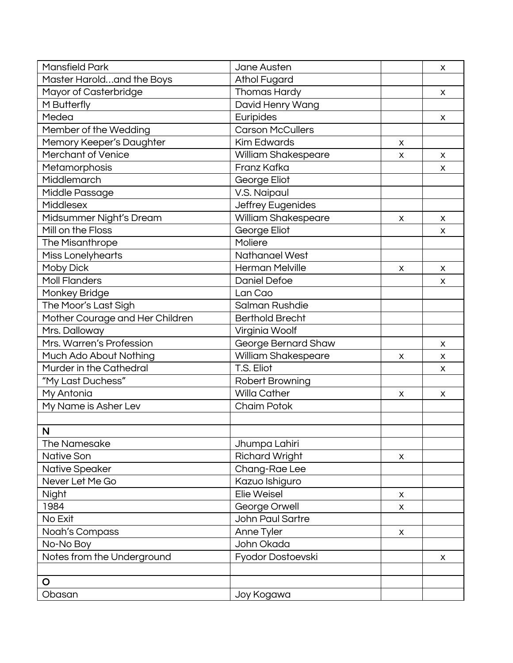| <b>Mansfield Park</b>           | Jane Austen             |   | X |
|---------------------------------|-------------------------|---|---|
| Master Haroldand the Boys       | <b>Athol Fugard</b>     |   |   |
| Mayor of Casterbridge           | <b>Thomas Hardy</b>     |   | X |
| M Butterfly                     | David Henry Wang        |   |   |
| Medea                           | Euripides               |   | X |
| Member of the Wedding           | <b>Carson McCullers</b> |   |   |
| Memory Keeper's Daughter        | <b>Kim Edwards</b>      | X |   |
| <b>Merchant of Venice</b>       | William Shakespeare     | X | X |
| Metamorphosis                   | Franz Kafka             |   | X |
| Middlemarch                     | George Eliot            |   |   |
| Middle Passage                  | V.S. Naipaul            |   |   |
| Middlesex                       | Jeffrey Eugenides       |   |   |
| Midsummer Night's Dream         | William Shakespeare     | X | X |
| Mill on the Floss               | George Eliot            |   | X |
| The Misanthrope                 | Moliere                 |   |   |
| Miss Lonelyhearts               | <b>Nathanael West</b>   |   |   |
| Moby Dick                       | <b>Herman Melville</b>  | X | X |
| <b>Moll Flanders</b>            | <b>Daniel Defoe</b>     |   | X |
| Monkey Bridge                   | Lan Cao                 |   |   |
| The Moor's Last Sigh            | Salman Rushdie          |   |   |
| Mother Courage and Her Children | <b>Berthold Brecht</b>  |   |   |
| Mrs. Dalloway                   | Virginia Woolf          |   |   |
| Mrs. Warren's Profession        | George Bernard Shaw     |   | X |
| Much Ado About Nothing          | William Shakespeare     | X | X |
| Murder in the Cathedral         | T.S. Eliot              |   | X |
| "My Last Duchess"               | Robert Browning         |   |   |
| My Antonia                      | <b>Willa Cather</b>     | X | X |
| My Name is Asher Lev            | <b>Chaim Potok</b>      |   |   |
|                                 |                         |   |   |
| N                               |                         |   |   |
| The Namesake                    | Jhumpa Lahiri           |   |   |
| <b>Native Son</b>               | <b>Richard Wright</b>   | X |   |
| Native Speaker                  | Chang-Rae Lee           |   |   |
| Never Let Me Go                 | Kazuo Ishiguro          |   |   |
| Night                           | Elie Weisel             | X |   |
| 1984                            | George Orwell           | X |   |
| No Exit                         | <b>John Paul Sartre</b> |   |   |
| Noah's Compass                  | Anne Tyler              | X |   |
| No-No Boy                       | John Okada              |   |   |
| Notes from the Underground      | Fyodor Dostoevski       |   | X |
|                                 |                         |   |   |
| $\circ$                         |                         |   |   |
| Obasan                          | Joy Kogawa              |   |   |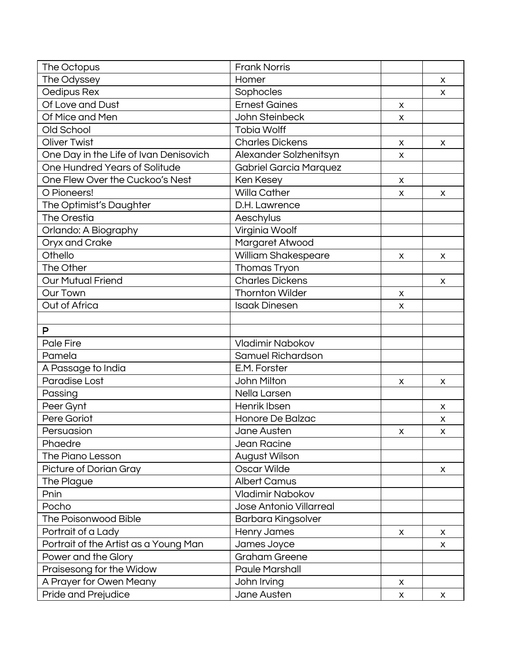| The Octopus                            | <b>Frank Norris</b>           |                    |   |
|----------------------------------------|-------------------------------|--------------------|---|
| The Odyssey                            | Homer                         |                    | X |
| Oedipus Rex                            | Sophocles                     |                    | X |
| Of Love and Dust                       | <b>Ernest Gaines</b>          | X                  |   |
| Of Mice and Men                        | John Steinbeck                | X                  |   |
| Old School                             | <b>Tobia Wolff</b>            |                    |   |
| <b>Oliver Twist</b>                    | <b>Charles Dickens</b>        | X                  | X |
| One Day in the Life of Ivan Denisovich | Alexander Solzhenitsyn        | X                  |   |
| One Hundred Years of Solitude          | <b>Gabriel Garcia Marquez</b> |                    |   |
| One Flew Over the Cuckoo's Nest        | Ken Kesey                     | X                  |   |
| O Pioneers!                            | <b>Willa Cather</b>           | X                  | X |
| The Optimist's Daughter                | D.H. Lawrence                 |                    |   |
| The Orestia                            | Aeschylus                     |                    |   |
| Orlando: A Biography                   | Virginia Woolf                |                    |   |
| Oryx and Crake                         | Margaret Atwood               |                    |   |
| Othello                                | <b>William Shakespeare</b>    | X                  | X |
| The Other                              | Thomas Tryon                  |                    |   |
| <b>Our Mutual Friend</b>               | <b>Charles Dickens</b>        |                    | X |
| <b>Our Town</b>                        | <b>Thornton Wilder</b>        | X                  |   |
| Out of Africa                          | <b>Isaak Dinesen</b>          | X                  |   |
|                                        |                               |                    |   |
| P                                      |                               |                    |   |
| Pale Fire                              | Vladimir Nabokov              |                    |   |
| Pamela                                 | Samuel Richardson             |                    |   |
| A Passage to India                     | E.M. Forster                  |                    |   |
| Paradise Lost                          | John Milton                   | X                  | X |
| Passing                                | Nella Larsen                  |                    |   |
| Peer Gynt                              | Henrik Ibsen                  |                    | X |
| Pere Goriot                            | Honore De Balzac              |                    | х |
| Persuasion                             | Jane Austen                   | X                  | X |
| Phaedre                                | Jean Racine                   |                    |   |
| The Piano Lesson                       | August Wilson                 |                    |   |
| Picture of Dorian Gray                 | Oscar Wilde                   |                    | x |
| The Plague                             | <b>Albert Camus</b>           |                    |   |
| Pnin                                   | Vladimir Nabokov              |                    |   |
| Pocho                                  | Jose Antonio Villarreal       |                    |   |
| The Poisonwood Bible                   | Barbara Kingsolver            |                    |   |
| Portrait of a Lady                     | <b>Henry James</b>            | X                  | X |
| Portrait of the Artist as a Young Man  | James Joyce                   |                    | X |
| Power and the Glory                    | Graham Greene                 |                    |   |
| Praisesong for the Widow               | <b>Paule Marshall</b>         |                    |   |
| A Prayer for Owen Meany                | John Irving                   | X                  |   |
| Pride and Prejudice                    | Jane Austen                   | $\pmb{\mathsf{X}}$ | X |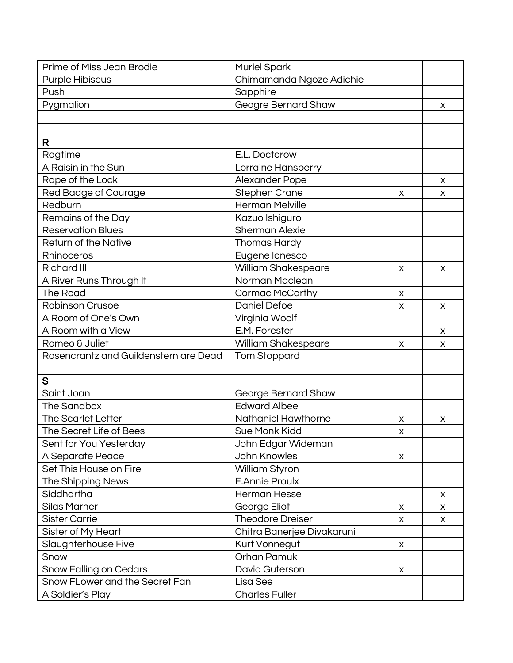| Prime of Miss Jean Brodie             | <b>Muriel Spark</b>        |   |   |
|---------------------------------------|----------------------------|---|---|
| <b>Purple Hibiscus</b>                | Chimamanda Ngoze Adichie   |   |   |
| Push                                  | Sapphire                   |   |   |
| Pygmalion                             | Geogre Bernard Shaw        |   | X |
|                                       |                            |   |   |
|                                       |                            |   |   |
| R                                     |                            |   |   |
| Ragtime                               | E.L. Doctorow              |   |   |
| A Raisin in the Sun                   | Lorraine Hansberry         |   |   |
| Rape of the Lock                      | Alexander Pope             |   | X |
| Red Badge of Courage                  | <b>Stephen Crane</b>       | X | х |
| Redburn                               | <b>Herman Melville</b>     |   |   |
| Remains of the Day                    | Kazuo Ishiguro             |   |   |
| <b>Reservation Blues</b>              | <b>Sherman Alexie</b>      |   |   |
| <b>Return of the Native</b>           | Thomas Hardy               |   |   |
| Rhinoceros                            | Eugene lonesco             |   |   |
| <b>Richard III</b>                    | William Shakespeare        | X | х |
| A River Runs Through It               | Norman Maclean             |   |   |
| The Road                              | <b>Cormac McCarthy</b>     | X |   |
| <b>Robinson Crusoe</b>                | <b>Daniel Defoe</b>        | X | X |
| A Room of One's Own                   | Virginia Woolf             |   |   |
| A Room with a View                    | E.M. Forester              |   | X |
| Romeo & Juliet                        | William Shakespeare        | X | х |
| Rosencrantz and Guildenstern are Dead | <b>Tom Stoppard</b>        |   |   |
|                                       |                            |   |   |
| S                                     |                            |   |   |
| Saint Joan                            | George Bernard Shaw        |   |   |
| The Sandbox                           | <b>Edward Albee</b>        |   |   |
| <b>The Scarlet Letter</b>             | Nathaniel Hawthorne        | X | X |
| The Secret Life of Bees               | Sue Monk Kidd              | X |   |
| Sent for You Yesterday                | John Edgar Wideman         |   |   |
| A Separate Peace                      | John Knowles               | X |   |
| Set This House on Fire                | William Styron             |   |   |
| The Shipping News                     | <b>E.Annie Proulx</b>      |   |   |
| Siddhartha                            | <b>Herman Hesse</b>        |   | X |
| <b>Silas Marner</b>                   | George Eliot               | X | X |
| <b>Sister Carrie</b>                  | Theodore Dreiser           | X | X |
| Sister of My Heart                    | Chitra Banerjee Divakaruni |   |   |
| Slaughterhouse Five                   | Kurt Vonnegut              | X |   |
| Snow                                  | Orhan Pamuk                |   |   |
| <b>Snow Falling on Cedars</b>         | David Guterson             | X |   |
| Snow FLower and the Secret Fan        | Lisa See                   |   |   |
| A Soldier's Play                      | <b>Charles Fuller</b>      |   |   |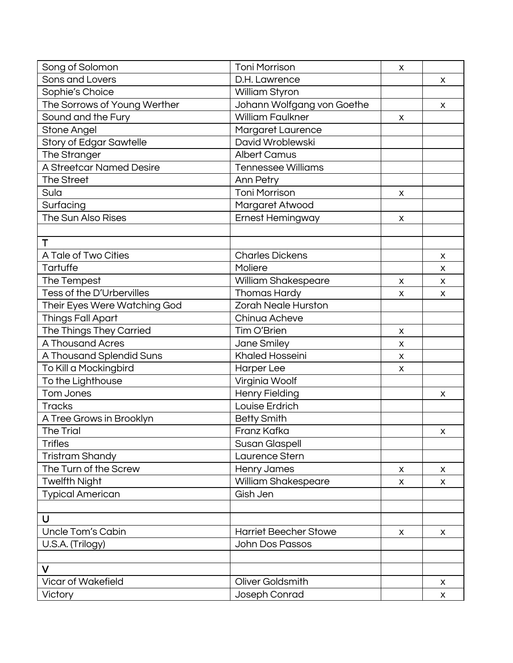| Song of Solomon                | <b>Toni Morrison</b>         | X |   |
|--------------------------------|------------------------------|---|---|
| Sons and Lovers                | D.H. Lawrence                |   | X |
| Sophie's Choice                | William Styron               |   |   |
| The Sorrows of Young Werther   | Johann Wolfgang von Goethe   |   | X |
| Sound and the Fury             | <b>William Faulkner</b>      | X |   |
| Stone Angel                    | Margaret Laurence            |   |   |
| <b>Story of Edgar Sawtelle</b> | David Wroblewski             |   |   |
| The Stranger                   | <b>Albert Camus</b>          |   |   |
| A Streetcar Named Desire       | <b>Tennessee Williams</b>    |   |   |
| The Street                     | Ann Petry                    |   |   |
| Sula                           | <b>Toni Morrison</b>         | X |   |
| Surfacing                      | Margaret Atwood              |   |   |
| The Sun Also Rises             | <b>Ernest Hemingway</b>      | X |   |
|                                |                              |   |   |
| Τ                              |                              |   |   |
| A Tale of Two Cities           | <b>Charles Dickens</b>       |   | X |
| Tartuffe                       | Moliere                      |   | X |
| The Tempest                    | <b>William Shakespeare</b>   | X | X |
| Tess of the D'Urbervilles      | <b>Thomas Hardy</b>          | X | X |
| Their Eyes Were Watching God   | <b>Zorah Neale Hurston</b>   |   |   |
| <b>Things Fall Apart</b>       | Chinua Acheve                |   |   |
| The Things They Carried        | Tim O'Brien                  | X |   |
| A Thousand Acres               | Jane Smiley                  | X |   |
| A Thousand Splendid Suns       | <b>Khaled Hosseini</b>       | X |   |
| To Kill a Mockingbird          | <b>Harper Lee</b>            | X |   |
| To the Lighthouse              | Virginia Woolf               |   |   |
| Tom Jones                      | <b>Henry Fielding</b>        |   | х |
| <b>Tracks</b>                  | Louise Erdrich               |   |   |
| A Tree Grows in Brooklyn       | <b>Betty Smith</b>           |   |   |
| <b>The Trial</b>               | Franz Kafka                  |   | X |
| <b>Trifles</b>                 | Susan Glaspell               |   |   |
| Tristram Shandy                | Laurence Stern               |   |   |
| The Turn of the Screw          | Henry James                  | X | X |
| <b>Twelfth Night</b>           | William Shakespeare          | X | X |
| <b>Typical American</b>        | Gish Jen                     |   |   |
|                                |                              |   |   |
| U                              |                              |   |   |
| Uncle Tom's Cabin              | <b>Harriet Beecher Stowe</b> | X | X |
| U.S.A. (Trilogy)               | <b>John Dos Passos</b>       |   |   |
|                                |                              |   |   |
| V                              |                              |   |   |
| <b>Vicar of Wakefield</b>      | Oliver Goldsmith             |   | X |
| Victory                        | Joseph Conrad                |   | X |